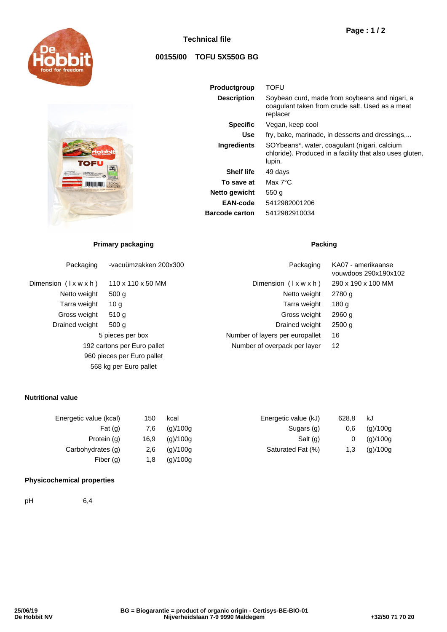

# **Technical file**

# **00155/00 TOFU 5X550G BG**

| <b>Productgroup</b>   | TOFU                                                                                                               |
|-----------------------|--------------------------------------------------------------------------------------------------------------------|
| <b>Description</b>    | Soybean curd, made from soybeans and nigari, a<br>coagulant taken from crude salt. Used as a meat<br>replacer      |
| <b>Specific</b>       | Vegan, keep cool                                                                                                   |
| Use                   | fry, bake, marinade, in desserts and dressings                                                                     |
| <b>Ingredients</b>    | SOYbeans*, water, coagulant (nigari, calcium<br>chloride). Produced in a facility that also uses gluten,<br>lupin. |
| <b>Shelf life</b>     | 49 days                                                                                                            |
| To save at            | Max $7^{\circ}$ C                                                                                                  |
| Netto gewicht         | 550 g                                                                                                              |
| EAN-code              | 5412982001206                                                                                                      |
| <b>Barcode carton</b> | 5412982910034                                                                                                      |

# **Primary packaging Packing Packing**

<u> Militar Alban II</u>

| Packaging                     | -vacuümzakken 200x300      | Packaging                       | KA07 - amerikaanse<br>vouwdoos 290x190x102 |  |
|-------------------------------|----------------------------|---------------------------------|--------------------------------------------|--|
| Dimension $(\forall x w x h)$ | 110 x 110 x 50 MM          | Dimension $(\forall x w x h)$   | 290 x 190 x 100 MM                         |  |
| Netto weight                  | 500 g                      | Netto weight                    | 2780 g                                     |  |
| Tarra weight                  | 10 g                       | Tarra weight                    | 180 <sub>g</sub>                           |  |
| Gross weight                  | 510 g                      | Gross weight                    | 2960q                                      |  |
| Drained weight                | 500 g                      | Drained weight                  | 2500q                                      |  |
| 5 pieces per box              |                            | Number of layers per europallet | 16                                         |  |
| 192 cartons per Euro pallet   |                            | Number of overpack per layer    | 12                                         |  |
|                               | 960 pieces per Euro pallet |                                 |                                            |  |
|                               | 568 kg per Euro pallet     |                                 |                                            |  |

#### **Nutritional value**

| 150  | kcal     | Energetic value (kJ) | 628.8 | kJ       |
|------|----------|----------------------|-------|----------|
| 7.6  | (g)/100g | Sugars (g)           | 0.6   | (g)/100g |
| 16,9 | (g)/100g | Salt (g)             | 0     | (g)/100g |
| 2.6  | (g)/100g | Saturated Fat (%)    | 1,3   | (g)/100g |
| 1.8  | (g)/100g |                      |       |          |
|      |          |                      |       |          |

### **Physicochemical properties**

pH 6,4